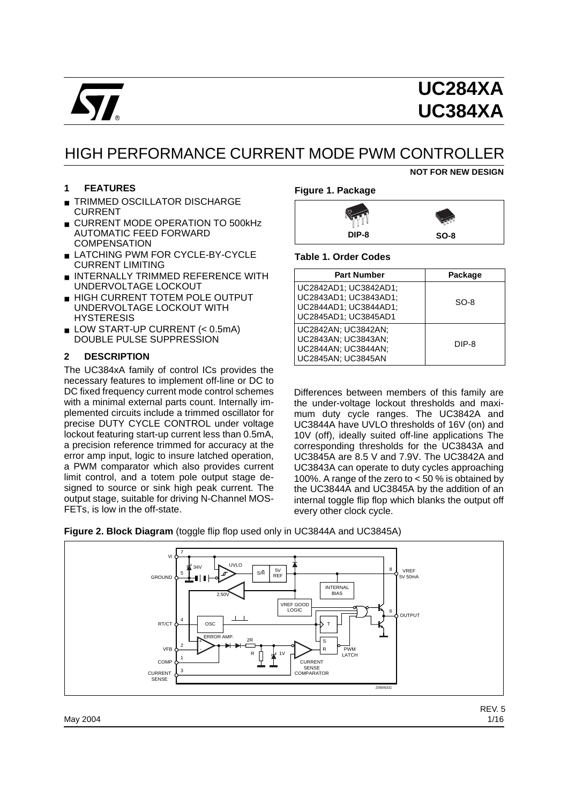

**NOT FOR NEW DESIGN**

# HIGH PERFORMANCE CURRENT MODE PWM CONTROLLER

#### **1 FEATURES**

- **TRIMMED OSCILLATOR DISCHARGE** CURRENT
- CURRENT MODE OPERATION TO 500kHz AUTOMATIC FEED FORWARD **COMPENSATION**
- LATCHING PWM FOR CYCLE-BY-CYCLE CURRENT LIMITING
- INTERNALLY TRIMMED REFERENCE WITH UNDERVOLTAGE LOCKOUT
- HIGH CURRENT TOTEM POLE OUTPUT UNDERVOLTAGE LOCKOUT WITH **HYSTERESIS**
- LOW START-UP CURRENT (< 0.5mA) DOUBLE PULSE SUPPRESSION

### **2 DESCRIPTION**

The UC384xA family of control ICs provides the necessary features to implement off-line or DC to DC fixed frequency current mode control schemes with a minimal external parts count. Internally implemented circuits include a trimmed oscillator for precise DUTY CYCLE CONTROL under voltage lockout featuring start-up current less than 0.5mA, a precision reference trimmed for accuracy at the error amp input, logic to insure latched operation, a PWM comparator which also provides current limit control, and a totem pole output stage designed to source or sink high peak current. The output stage, suitable for driving N-Channel MOS-FETs, is low in the off-state.

#### **Figure 1. Package**

| ∖⊝    |        |
|-------|--------|
| DIP-8 | $SO-8$ |

#### **Table 1. Order Codes**

| <b>Part Number</b>                                                                              | Package |
|-------------------------------------------------------------------------------------------------|---------|
| UC2842AD1; UC3842AD1;<br>UC2843AD1; UC3843AD1;<br>UC2844AD1; UC3844AD1;<br>UC2845AD1: UC3845AD1 | $SO-8$  |
| UC2842AN; UC3842AN:<br>UC2843AN; UC3843AN;<br>UC2844AN; UC3844AN;<br>UC2845AN; UC3845AN         | DIP-8   |

Differences between members of this family are the under-voltage lockout thresholds and maximum duty cycle ranges. The UC3842A and UC3844A have UVLO thresholds of 16V (on) and 10V (off), ideally suited off-line applications The corresponding thresholds for the UC3843A and UC3845A are 8.5 V and 7.9V. The UC3842A and UC3843A can operate to duty cycles approaching 100%. A range of the zero to < 50 % is obtained by the UC3844A and UC3845A by the addition of an internal toggle flip flop which blanks the output off every other clock cycle.



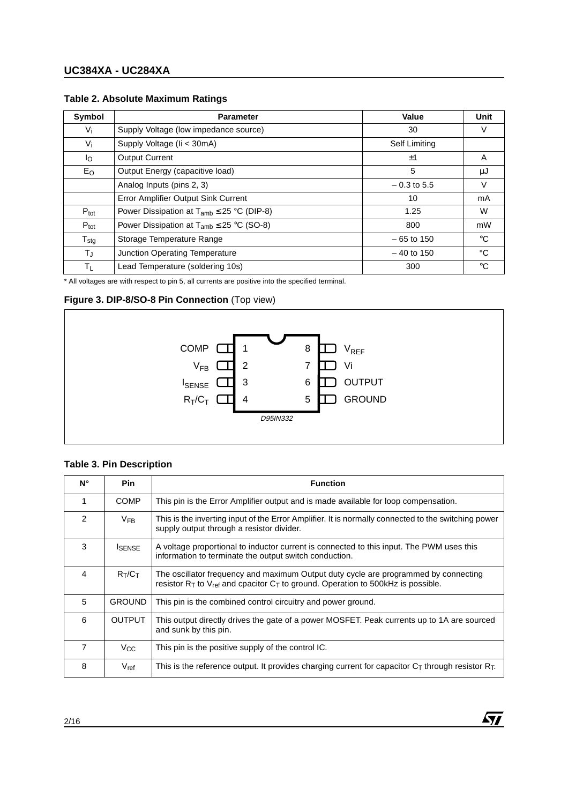| Symbol           | <b>Parameter</b>                                  | Value                | Unit        |
|------------------|---------------------------------------------------|----------------------|-------------|
| $V_i$            | Supply Voltage (low impedance source)             | 30                   | V           |
| $V_i$            | Supply Voltage (Ii < 30mA)                        | <b>Self Limiting</b> |             |
| l <sub>O</sub>   | <b>Output Current</b>                             | ±1                   | A           |
| Eo               | Output Energy (capacitive load)                   | 5                    | μJ          |
|                  | Analog Inputs (pins 2, 3)                         | $-0.3$ to 5.5        | V           |
|                  | Error Amplifier Output Sink Current               | 10                   | mA          |
| $P_{\text{tot}}$ | Power Dissipation at $T_{amb} \leq 25$ °C (DIP-8) | 1.25                 | W           |
| $P_{\text{tot}}$ | Power Dissipation at $T_{amb} \leq 25$ °C (SO-8)  | 800                  | mW          |
| $T_{\text{stg}}$ | Storage Temperature Range                         | $-65$ to 150         | $^{\circ}C$ |
| $T_{\rm J}$      | Junction Operating Temperature                    | $-40$ to 150         | °C          |
| ΤL               | Lead Temperature (soldering 10s)                  | 300                  | $^{\circ}C$ |

### **Table 2. Absolute Maximum Ratings**

\* All voltages are with respect to pin 5, all currents are positive into the specified terminal.

### **Figure 3. DIP-8/SO-8 Pin Connection** (Top view)



### **Table 3. Pin Description**

| Ν°            | <b>Pin</b>     | <b>Function</b>                                                                                                                                                                   |
|---------------|----------------|-----------------------------------------------------------------------------------------------------------------------------------------------------------------------------------|
|               | <b>COMP</b>    | This pin is the Error Amplifier output and is made available for loop compensation.                                                                                               |
| $\mathcal{P}$ | $V_{FB}$       | This is the inverting input of the Error Amplifier. It is normally connected to the switching power<br>supply output through a resistor divider.                                  |
| 3             | <b>I</b> SENSE | A voltage proportional to inductor current is connected to this input. The PWM uses this<br>information to terminate the output switch conduction.                                |
| 4             | $R_T/C_T$      | The oscillator frequency and maximum Output duty cycle are programmed by connecting<br>resistor $R_T$ to $V_{ref}$ and cpacitor $C_T$ to ground. Operation to 500kHz is possible. |
| 5             | <b>GROUND</b>  | This pin is the combined control circuitry and power ground.                                                                                                                      |
| 6             | <b>OUTPUT</b>  | This output directly drives the gate of a power MOSFET. Peak currents up to 1A are sourced<br>and sunk by this pin.                                                               |
| 7             | $V_{\rm CC}$   | This pin is the positive supply of the control IC.                                                                                                                                |
| 8             | $V_{ref}$      | This is the reference output. It provides charging current for capacitor $C_T$ through resistor $R_T$ .                                                                           |

**Ayy**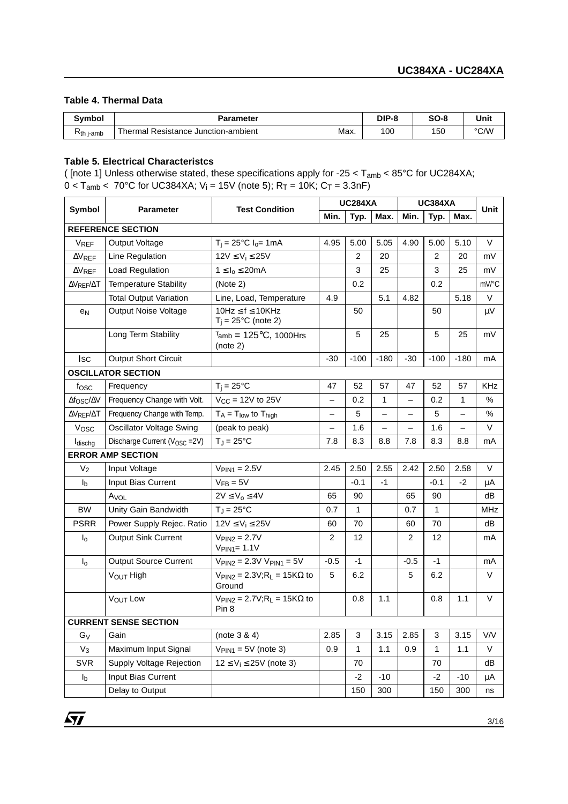#### **Table 4. Thermal Data**

| Symbol      | <b>Parameter</b>                                           | DIP-8 | $SO-8$ | Unit |
|-------------|------------------------------------------------------------|-------|--------|------|
| $Rth$ j-amb | Max.<br>Resistance Junction-ambient<br><sup>-</sup> hermal | 100   | 150    | °C/W |

#### **Table 5. Electrical Characteristcs**

( [note 1] Unless otherwise stated, these specifications apply for -25 < Tamb < 85°C for UC284XA;  $0 < T_{amb} < 70^{\circ}$ C for UC384XA; V<sub>i</sub> = 15V (note 5); R<sub>T</sub> = 10K; C<sub>T</sub> = 3.3nF)

|                            |                                                                                   |                                                                 | <b>UC284XA</b>           |        |                          | <b>UC384XA</b>           |                |              | <b>Unit</b> |
|----------------------------|-----------------------------------------------------------------------------------|-----------------------------------------------------------------|--------------------------|--------|--------------------------|--------------------------|----------------|--------------|-------------|
| Symbol                     | <b>Parameter</b>                                                                  | <b>Test Condition</b>                                           | Min.                     | Typ.   | Max.                     | Min.                     | Typ.           | Max.         |             |
|                            | <b>REFERENCE SECTION</b>                                                          |                                                                 |                          |        |                          |                          |                |              |             |
| <b>VREF</b>                | Output Voltage                                                                    | $T_i = 25^{\circ}C I_0 = 1 mA$                                  | 4.95                     | 5.00   | 5.05                     | 4.90                     | 5.00           | 5.10         | $\vee$      |
| $\Delta V_{REF}$           | Line Regulation                                                                   | $12V \leq V_i \leq 25V$                                         |                          | 2      | 20                       |                          | $\overline{2}$ | 20           | mV          |
| $\Delta V$ REF             | Load Regulation                                                                   | $1 \leq I_0 \leq 20 \text{mA}$                                  |                          | 3      | 25                       |                          | 3              | 25           | mV          |
| $\Delta V_{REF}/\Delta T$  | <b>Temperature Stability</b>                                                      | (Note 2)                                                        |                          | 0.2    |                          |                          | 0.2            |              | mV/°C       |
|                            | <b>Total Output Variation</b>                                                     | Line, Load, Temperature                                         | 4.9                      |        | 5.1                      | 4.82                     |                | 5.18         | $\vee$      |
| e <sub>N</sub>             | <b>Output Noise Voltage</b>                                                       | $10Hz \le f \le 10KHz$<br>$T_i = 25^{\circ}C$ (note 2)          |                          | 50     |                          |                          | 50             |              | μV          |
|                            | Long Term Stability                                                               | $T_{amb} = 125$ °C, 1000Hrs<br>(note 2)                         |                          | 5      | 25                       |                          | 5              | 25           | mV          |
| <b>I</b> sc                | Output Short Circuit                                                              |                                                                 | $-30$                    | $-100$ | $-180$                   | $-30$                    | $-100$         | $-180$       | mA          |
|                            | <b>OSCILLATOR SECTION</b>                                                         |                                                                 |                          |        |                          |                          |                |              |             |
| fosc                       | Frequency                                                                         | $T_i = 25^{\circ}C$                                             | 47                       | 52     | 57                       | 47                       | 52             | 57           | <b>KHz</b>  |
| $\Delta f$ osc/ $\Delta V$ | Frequency Change with Volt.                                                       | $V_{CC}$ = 12V to 25V                                           | $\overline{\phantom{0}}$ | 0.2    | $\mathbf{1}$             | $\overline{\phantom{0}}$ | 0.2            | $\mathbf{1}$ | $\%$        |
| $\Delta V_{REF}/\Delta T$  | Frequency Change with Temp.                                                       | $T_A = T_{low}$ to $T_{high}$                                   | —                        | 5      | $\overline{\phantom{0}}$ |                          | 5              |              | $\%$        |
| Vosc                       | <b>Oscillator Voltage Swing</b>                                                   | (peak to peak)                                                  | $\qquad \qquad -$        | 1.6    | $\overline{\phantom{0}}$ |                          | 1.6            |              | V           |
| ldischg                    | Discharge Current (V <sub>OSC</sub> = 2V)                                         | $T_J = 25^{\circ}C$                                             | 7.8                      | 8.3    | 8.8                      | 7.8                      | 8.3            | 8.8          | mA          |
|                            | <b>ERROR AMP SECTION</b>                                                          |                                                                 |                          |        |                          |                          |                |              |             |
| V <sub>2</sub>             | Input Voltage                                                                     | $VPIN1 = 2.5V$                                                  | 2.45                     | 2.50   | 2.55                     | 2.42                     | 2.50           | 2.58         | V           |
| $I_{b}$                    | Input Bias Current                                                                | $V_{FB} = 5V$                                                   |                          | $-0.1$ | -1                       |                          | $-0.1$         | $-2$         | μA          |
|                            | Avol                                                                              | $2V \leq V_0 \leq 4V$                                           | 65                       | 90     |                          | 65                       | 90             |              | dB          |
| <b>BW</b>                  | Unity Gain Bandwidth                                                              | $T_J = 25^{\circ}C$                                             | 0.7                      | 1      |                          | 0.7                      | $\mathbf{1}$   |              | <b>MHz</b>  |
| <b>PSRR</b>                | Power Supply Rejec. Ratio                                                         | $12V \le V_i \le 25V$                                           | 60                       | 70     |                          | 60                       | 70             |              | dB          |
| $I_{\rm o}$                | <b>Output Sink Current</b>                                                        | $VPIN2 = 2.7V$<br>$V_{PIN1} = 1.1V$                             | $\overline{2}$           | 12     |                          | $\overline{2}$           | 12             |              | mA          |
| $I_{\rm o}$                | <b>Output Source Current</b>                                                      | $V_{PIN2} = 2.3V V_{PIN1} = 5V$                                 | $-0.5$                   | -1     |                          | $-0.5$                   | $-1$           |              | mA          |
|                            | VOUT High                                                                         | $V_{\text{PIN2}} = 2.3V; R_{\text{L}} = 15K\Omega$ to<br>Ground | 5                        | 6.2    |                          | 5                        | 6.2            |              | V           |
|                            | $V_{\text{PIN2}} = 2.7V; R_{\text{L}} = 15K\Omega$ to<br><b>VOUT LOW</b><br>Pin 8 |                                                                 |                          | 0.8    | 1.1                      |                          | 0.8            | 1.1          | V           |
|                            | <b>CURRENT SENSE SECTION</b>                                                      |                                                                 |                          |        |                          |                          |                |              |             |
| $G_V$                      | Gain                                                                              | (note 3 & 4)                                                    | 2.85                     | 3      | 3.15                     | 2.85                     | 3              | 3.15         | V/V         |
| $V_3$                      | Maximum Input Signal                                                              | $V_{PIN1} = 5V$ (note 3)                                        | 0.9                      | 1      | 1.1                      | 0.9                      | $\mathbf{1}$   | 1.1          | V           |
| <b>SVR</b>                 | Supply Voltage Rejection                                                          | $12 \le V_i \le 25V$ (note 3)                                   |                          | 70     |                          |                          | 70             |              | dB          |
| I <sub>b</sub>             | Input Bias Current                                                                |                                                                 |                          | $-2$   | $-10$                    |                          | $-2$           | $-10$        | μA          |
|                            | Delay to Output                                                                   |                                                                 |                          | 150    | 300                      |                          | 150            | 300          | ns          |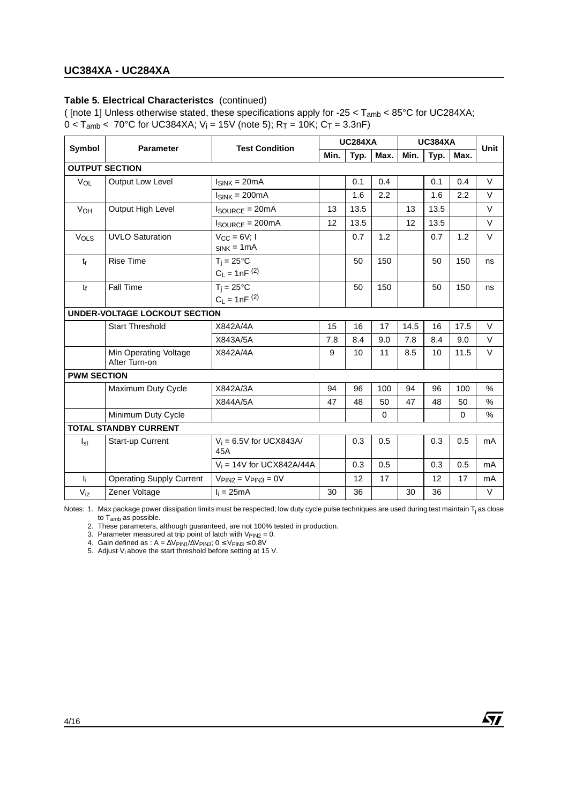#### **Table 5. Electrical Characteristcs** (continued)

( [note 1] Unless otherwise stated, these specifications apply for -25  $<$  T<sub>amb</sub>  $<$  85°C for UC284XA;  $0 < T_{amb} < 70^{\circ}$ C for UC384XA; V<sub>i</sub> = 15V (note 5); R<sub>T</sub> = 10K; C<sub>T</sub> = 3.3nF)

|                    |                                        |                                          | <b>UC284XA</b> |      |             | <b>UC384XA</b> |      |          |               |
|--------------------|----------------------------------------|------------------------------------------|----------------|------|-------------|----------------|------|----------|---------------|
| Symbol             | <b>Parameter</b>                       | <b>Test Condition</b>                    | Min.           | Typ. | Max.        | Min.           | Typ. | Max.     | Unit          |
|                    | <b>OUTPUT SECTION</b>                  |                                          |                |      |             |                |      |          |               |
| VOL                | Output Low Level                       | $I_{SINK} = 20mA$                        |                | 0.1  | 0.4         |                | 0.1  | 0.4      | $\vee$        |
|                    |                                        | $I_{SINK} = 200mA$                       |                | 1.6  | 2.2         |                | 1.6  | 2.2      | $\vee$        |
| VOH                | Output High Level                      | $I_{\text{SOURCE}} = 20 \text{mA}$       | 13             | 13.5 |             | 13             | 13.5 |          | $\vee$        |
|                    |                                        | $I_{\text{SOURCE}} = 200 \text{mA}$      | 12             | 13.5 |             | 12             | 13.5 |          | $\vee$        |
| VOLS               | <b>UVLO Saturation</b>                 | $V_{CC} = 6V; 1$<br>$SINK = 1mA$         |                | 0.7  | 1.2         |                | 0.7  | 1.2      | $\vee$        |
| $t_{r}$            | <b>Rise Time</b>                       | $T_i = 25^{\circ}C$<br>$C_L = 1nF^{(2)}$ |                | 50   | 150         |                | 50   | 150      | ns            |
| tf                 | <b>Fall Time</b>                       | $T_i = 25^{\circ}C$<br>$C_L = 1nF^{(2)}$ |                | 50   | 150         |                | 50   | 150      | ns            |
|                    | <b>UNDER-VOLTAGE LOCKOUT SECTION</b>   |                                          |                |      |             |                |      |          |               |
|                    | <b>Start Threshold</b>                 | X842A/4A                                 | 15             | 16   | 17          | 14.5           | 16   | 17.5     | $\vee$        |
|                    |                                        | X843A/5A                                 | 7.8            | 8.4  | 9.0         | 7.8            | 8.4  | 9.0      | $\vee$        |
|                    | Min Operating Voltage<br>After Turn-on | X842A/4A                                 | 9              | 10   | 11          | 8.5            | 10   | 11.5     | $\vee$        |
| <b>PWM SECTION</b> |                                        |                                          |                |      |             |                |      |          |               |
|                    | Maximum Duty Cycle                     | X842A/3A                                 | 94             | 96   | 100         | 94             | 96   | 100      | $\frac{0}{0}$ |
|                    |                                        | X844A/5A                                 | 47             | 48   | 50          | 47             | 48   | 50       | $\frac{0}{0}$ |
|                    | Minimum Duty Cycle                     |                                          |                |      | $\mathbf 0$ |                |      | $\Omega$ | %             |
|                    | <b>TOTAL STANDBY CURRENT</b>           |                                          |                |      |             |                |      |          |               |
| $I_{st}$           | Start-up Current                       | $V_i = 6.5V$ for UCX843A/<br>45A         |                | 0.3  | 0.5         |                | 0.3  | 0.5      | mA            |
|                    |                                        | $V_i = 14V$ for UCX842A/44A              |                | 0.3  | 0.5         |                | 0.3  | 0.5      | mA            |
| $\mathbf{l}_i$     | <b>Operating Supply Current</b>        | $VPIN2 = VPIN3 = 0V$                     |                | 12   | 17          |                | 12   | 17       | mA            |
| $V_{iz}$           | Zener Voltage                          | $I_i = 25mA$                             | 30             | 36   |             | 30             | 36   |          | V             |

Notes: 1. Max package power dissipation limits must be respected; low duty cycle pulse techniques are used during test maintain T<sub>i</sub> as close to T<sub>amb</sub> as possible.

ÁY/

2. These parameters, although guaranteed, are not 100% tested in production.

3. Parameter measured at trip point of latch with  $V_{PIN2} = 0$ .

4. Gain defined as : A =  $\Delta V$ PIN1/ $\Delta V$ PIN3; 0 ≤ VPIN3 ≤ 0.8V

5. Adjust  $V_i$  above the start threshold before setting at 15 V.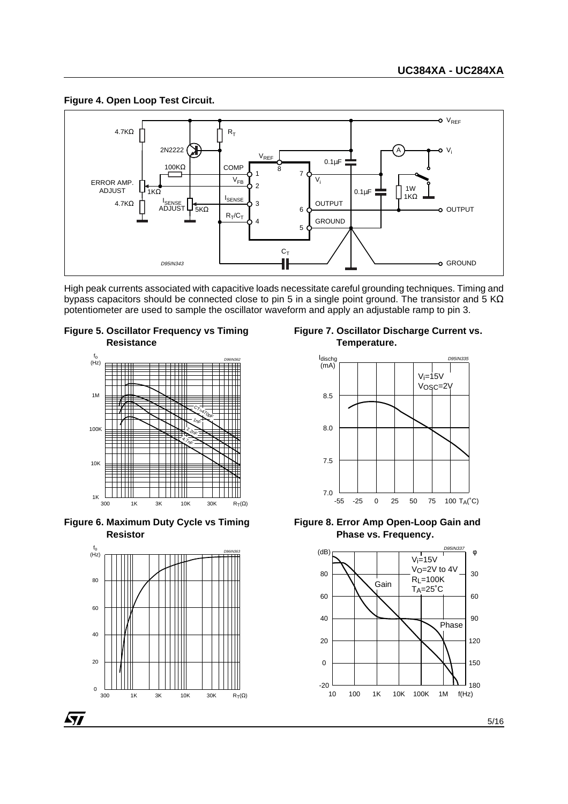### **Figure 4. Open Loop Test Circuit.**



High peak currents associated with capacitive loads necessitate careful grounding techniques. Timing and bypass capacitors should be connected close to pin 5 in a single point ground. The transistor and 5 K $\Omega$ potentiometer are used to sample the oscillator waveform and apply an adjustable ramp to pin 3.









**Figure 7. Oscillator Discharge Current vs. Temperature.**





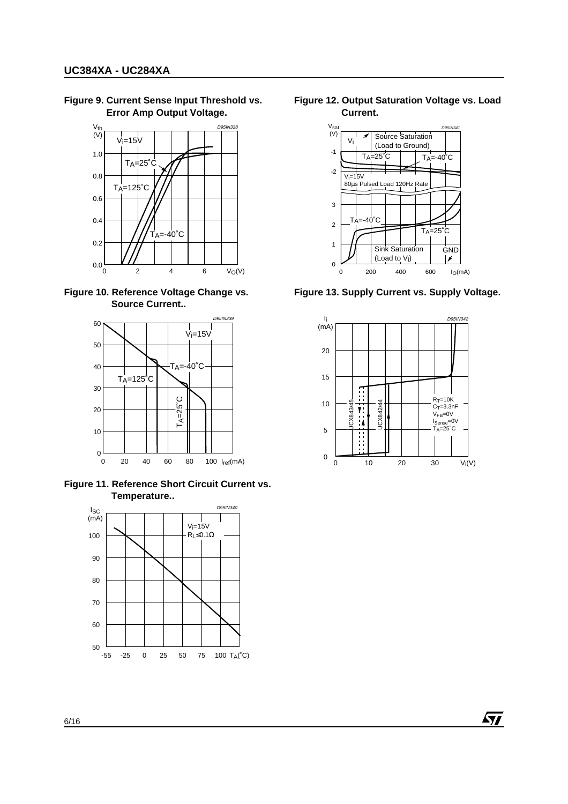**Figure 9. Current Sense Input Threshold vs. Error Amp Output Voltage.**



**Figure 10. Reference Voltage Change vs. Source Current..**



**Figure 11. Reference Short Circuit Current vs. Temperature..**



**Figure 12. Output Saturation Voltage vs. Load Current.**



**Figure 13. Supply Current vs. Supply Voltage.**



47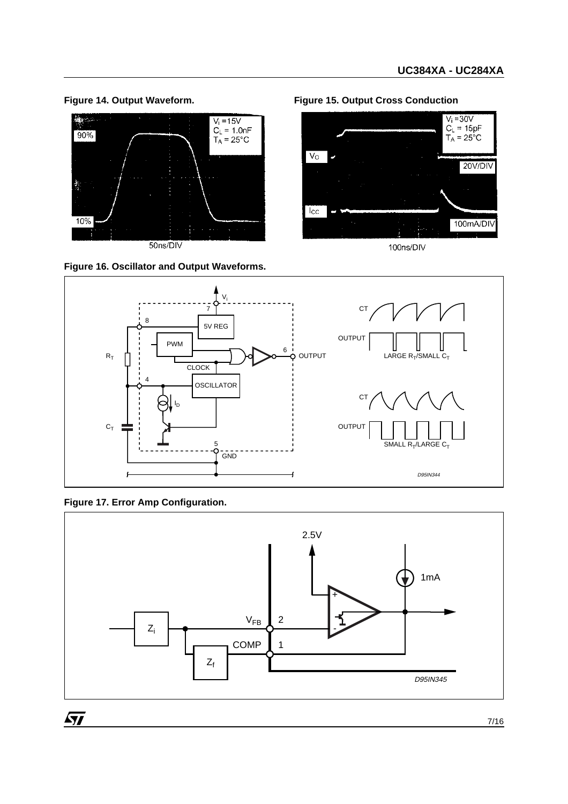



**Figure 14. Output Waveform. Figure 15. Output Cross Conduction**



100ns/DIV



**Figure 17. Error Amp Configuration.**

 $\sqrt{2}$ 

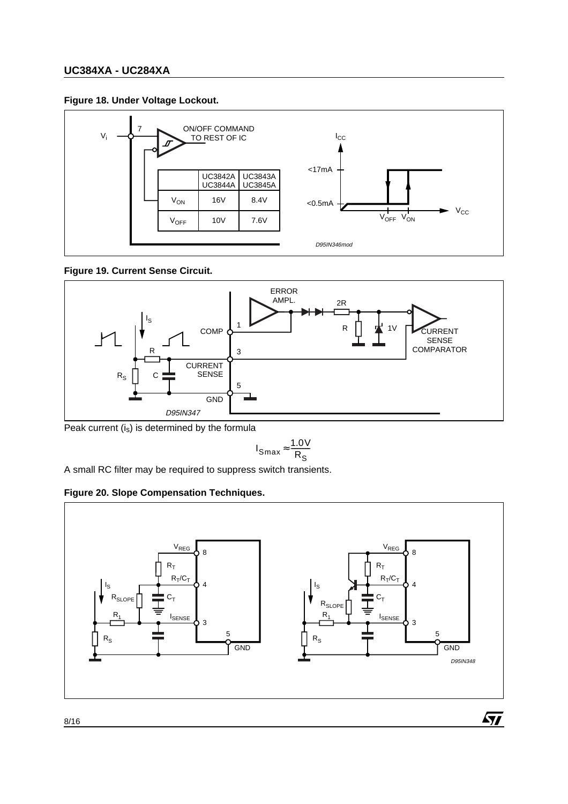### **Figure 18. Under Voltage Lockout.**



**Figure 19. Current Sense Circuit.**



Peak current  $(i<sub>s</sub>)$  is determined by the formula

$$
I_{Smax} \approx \frac{1.0 V}{R_S}
$$

A small RC filter may be required to suppress switch transients.

### **Figure 20. Slope Compensation Techniques.**

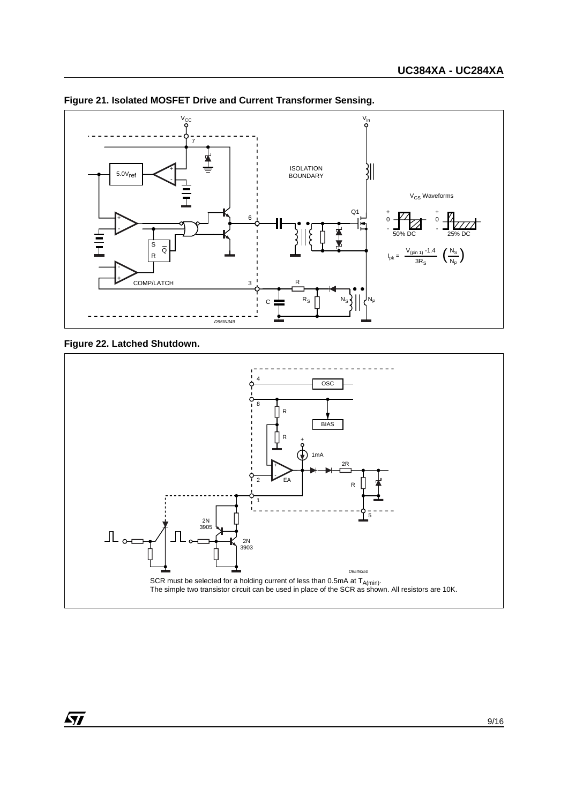

#### **Figure 21. Isolated MOSFET Drive and Current Transformer Sensing.**

**Figure 22. Latched Shutdown.**

57

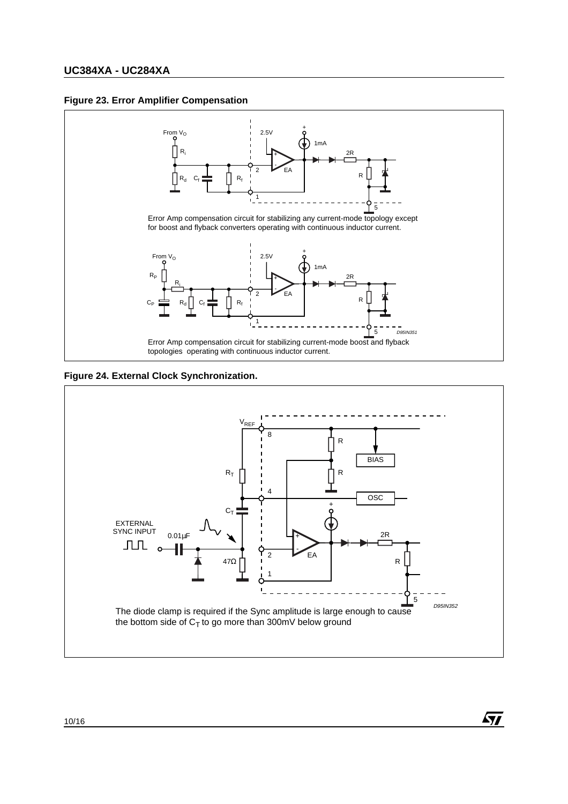#### **Figure 23. Error Amplifier Compensation**



**Figure 24. External Clock Synchronization.**



AY/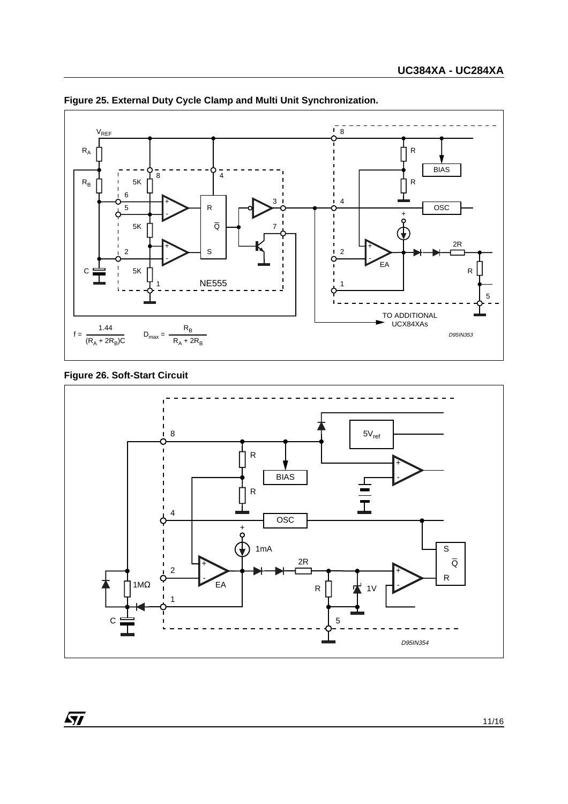

**Figure 25. External Duty Cycle Clamp and Multi Unit Synchronization.**

### **Figure 26. Soft-Start Circuit**

57

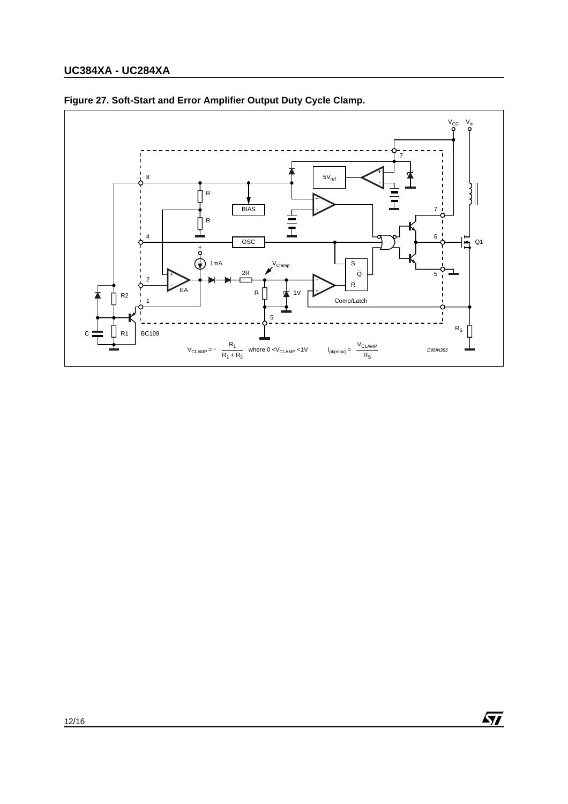

 $\sqrt{1}$ 

### **Figure 27. Soft-Start and Error Amplifier Output Duty Cycle Clamp.**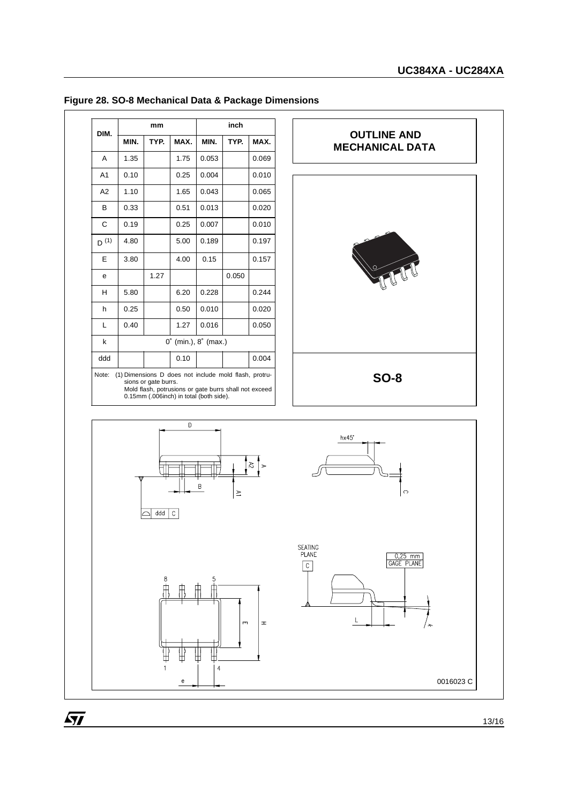| DIM.                                                                                                                                                                                       |                                        | mm   |      |       | inch  |       |
|--------------------------------------------------------------------------------------------------------------------------------------------------------------------------------------------|----------------------------------------|------|------|-------|-------|-------|
|                                                                                                                                                                                            | MIN.                                   | TYP. | MAX. | MIN.  | TYP.  | MAX.  |
| A                                                                                                                                                                                          | 1.35                                   |      | 1.75 | 0.053 |       | 0.069 |
| A <sub>1</sub>                                                                                                                                                                             | 0.10                                   |      | 0.25 | 0.004 |       | 0.010 |
| A2                                                                                                                                                                                         | 1.10                                   |      | 1.65 | 0.043 |       | 0.065 |
| B                                                                                                                                                                                          | 0.33                                   |      | 0.51 | 0.013 |       | 0.020 |
| C                                                                                                                                                                                          | 0.19                                   |      | 0.25 | 0.007 |       | 0.010 |
| $D^{(1)}$                                                                                                                                                                                  | 4.80                                   |      | 5.00 | 0.189 |       | 0.197 |
| E                                                                                                                                                                                          | 3.80                                   |      | 4.00 | 0.15  |       | 0.157 |
| е                                                                                                                                                                                          |                                        | 1.27 |      |       | 0.050 |       |
| н                                                                                                                                                                                          | 5.80                                   |      | 6.20 | 0.228 |       | 0.244 |
| h                                                                                                                                                                                          | 0.25                                   |      | 0.50 | 0.010 |       | 0.020 |
| L                                                                                                                                                                                          | 0.40                                   |      | 1.27 | 0.016 |       | 0.050 |
| k                                                                                                                                                                                          | $0^{\circ}$ (min.), $8^{\circ}$ (max.) |      |      |       |       |       |
| ddd                                                                                                                                                                                        | 0.004<br>0.10                          |      |      |       |       |       |
| Note:<br>(1) Dimensions D does not include mold flash, protru-<br>sions or gate burrs.<br>Mold flash, potrusions or gate burrs shall not exceed<br>0.15mm (.006inch) in total (both side). |                                        |      |      |       |       |       |

### **Figure 28. SO-8 Mechanical Data & Package Dimensions**



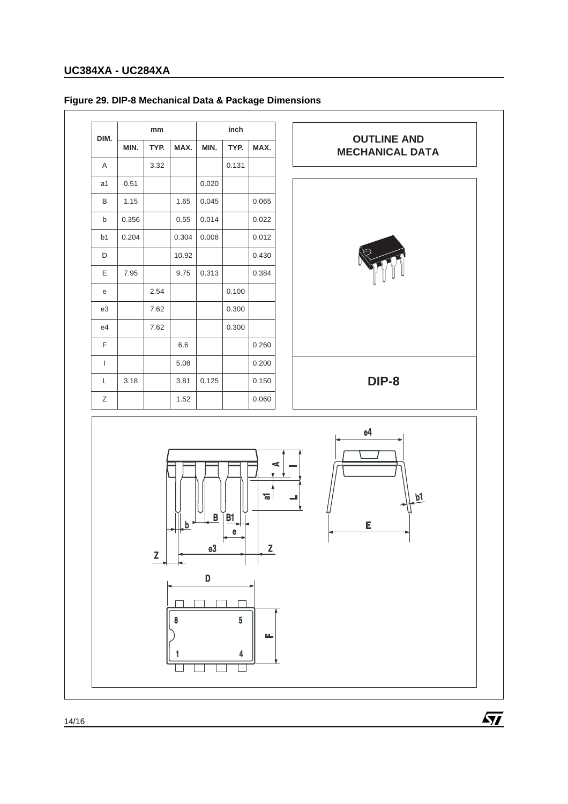## **Figure 29. DIP-8 Mechanical Data & Package Dimensions**

| DIM.           | mm    |      |       |       | inch  |       |
|----------------|-------|------|-------|-------|-------|-------|
|                | MIN.  | TYP. | MAX.  | MIN.  | TYP.  | MAX.  |
| A              |       | 3.32 |       |       | 0.131 |       |
| a1             | 0.51  |      |       | 0.020 |       |       |
| B              | 1.15  |      | 1.65  | 0.045 |       | 0.065 |
| b              | 0.356 |      | 0.55  | 0.014 |       | 0.022 |
| b <sub>1</sub> | 0.204 |      | 0.304 | 0.008 |       | 0.012 |
| D              |       |      | 10.92 |       |       | 0.430 |
| E              | 7.95  |      | 9.75  | 0.313 |       | 0.384 |
| e              |       | 2.54 |       |       | 0.100 |       |
| e3             |       | 7.62 |       |       | 0.300 |       |
| e4             |       | 7.62 |       |       | 0.300 |       |
| F              |       |      | 6.6   |       |       | 0.260 |
| I              |       |      | 5.08  |       |       | 0.200 |
| L              | 3.18  |      | 3.81  | 0.125 |       | 0.150 |
| Ζ              |       |      | 1.52  |       |       | 0.060 |





14/16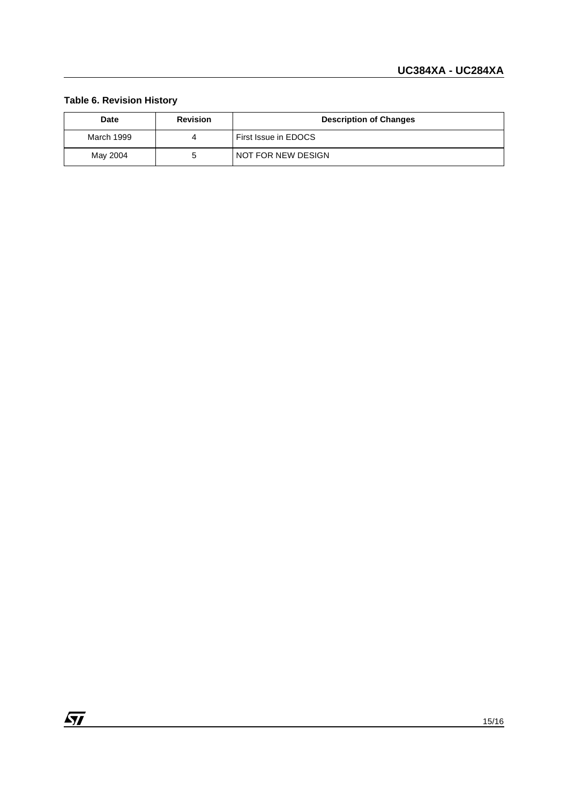### **Table 6. Revision History**

| Date       | <b>Revision</b> | <b>Description of Changes</b> |
|------------|-----------------|-------------------------------|
| March 1999 |                 | First Issue in EDOCS          |
| May 2004   |                 | NOT FOR NEW DESIGN            |